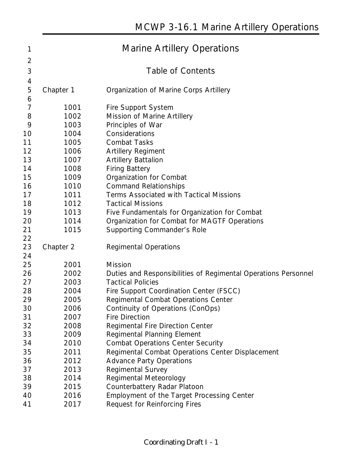| 1              | <b>Marine Artillery Operations</b> |                                                                             |  |  |  |
|----------------|------------------------------------|-----------------------------------------------------------------------------|--|--|--|
| 2              |                                    |                                                                             |  |  |  |
| 3              | <b>Table of Contents</b>           |                                                                             |  |  |  |
| 4              |                                    |                                                                             |  |  |  |
| 5              | Chapter 1                          | <b>Organization of Marine Corps Artillery</b>                               |  |  |  |
| 6              |                                    |                                                                             |  |  |  |
| $\overline{7}$ | 1001                               | Fire Support System                                                         |  |  |  |
| 8              | 1002                               | Mission of Marine Artillery                                                 |  |  |  |
| 9              | 1003                               | Principles of War                                                           |  |  |  |
| 10             | 1004                               | Considerations                                                              |  |  |  |
| 11             | 1005                               | <b>Combat Tasks</b>                                                         |  |  |  |
| 12             | 1006                               | <b>Artillery Regiment</b>                                                   |  |  |  |
| 13             | 1007                               | <b>Artillery Battalion</b>                                                  |  |  |  |
| 14             | 1008                               | <b>Firing Battery</b>                                                       |  |  |  |
| 15             | 1009                               | Organization for Combat                                                     |  |  |  |
| 16             | 1010                               | <b>Command Relationships</b>                                                |  |  |  |
| 17             | 1011                               | Terms Associated with Tactical Missions                                     |  |  |  |
| 18             | 1012                               | <b>Tactical Missions</b>                                                    |  |  |  |
| 19             | 1013                               | Five Fundamentals for Organization for Combat                               |  |  |  |
| 20             | 1014                               | Organization for Combat for MAGTF Operations                                |  |  |  |
| 21             | 1015                               | Supporting Commander's Role                                                 |  |  |  |
| 22             |                                    |                                                                             |  |  |  |
|                |                                    |                                                                             |  |  |  |
| 23             | Chapter 2                          | <b>Regimental Operations</b>                                                |  |  |  |
| 24             |                                    |                                                                             |  |  |  |
| 25             | 2001                               | <b>Mission</b>                                                              |  |  |  |
| 26             | 2002                               | Duties and Responsibilities of Regimental Operations Personnel              |  |  |  |
| 27             | 2003                               | <b>Tactical Policies</b>                                                    |  |  |  |
| 28             | 2004                               | Fire Support Coordination Center (FSCC)                                     |  |  |  |
| 29             | 2005                               | Regimental Combat Operations Center                                         |  |  |  |
| 30             | 2006                               | Continuity of Operations (ConOps)                                           |  |  |  |
| 31             | 2007                               | <b>Fire Direction</b>                                                       |  |  |  |
| 32             | 2008                               | <b>Regimental Fire Direction Center</b>                                     |  |  |  |
| 33             | 2009                               | Regimental Planning Element                                                 |  |  |  |
| 34             | 2010                               | <b>Combat Operations Center Security</b>                                    |  |  |  |
| 35             | 2011                               | Regimental Combat Operations Center Displacement                            |  |  |  |
| 36             | 2012                               | <b>Advance Party Operations</b>                                             |  |  |  |
| 37             | 2013                               | Regimental Survey                                                           |  |  |  |
| 38             | 2014                               | Regimental Meteorology                                                      |  |  |  |
| 39             | 2015                               | Counterbattery Radar Platoon                                                |  |  |  |
| 40<br>41       | 2016<br>2017                       | Employment of the Target Processing Center<br>Request for Reinforcing Fires |  |  |  |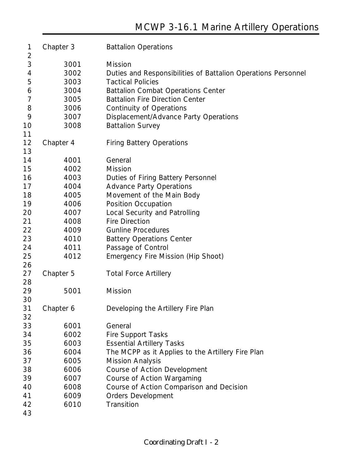| 1              | Chapter 3 | <b>Battalion Operations</b>                                   |
|----------------|-----------|---------------------------------------------------------------|
| $\overline{2}$ |           |                                                               |
| $\mathfrak{Z}$ | 3001      | <b>Mission</b>                                                |
| $\overline{4}$ | 3002      | Duties and Responsibilities of Battalion Operations Personnel |
| 5              | 3003      | <b>Tactical Policies</b>                                      |
| 6              | 3004      | <b>Battalion Combat Operations Center</b>                     |
| $\overline{7}$ | 3005      | <b>Battalion Fire Direction Center</b>                        |
| 8              | 3006      | <b>Continuity of Operations</b>                               |
| 9              | 3007      | Displacement/Advance Party Operations                         |
| 10             | 3008      | <b>Battalion Survey</b>                                       |
| 11             |           |                                                               |
| 12             | Chapter 4 | <b>Firing Battery Operations</b>                              |
| 13             |           |                                                               |
| 14             | 4001      | General                                                       |
| 15             | 4002      | <b>Mission</b>                                                |
| 16             | 4003      | Duties of Firing Battery Personnel                            |
| 17             | 4004      | <b>Advance Party Operations</b>                               |
| 18             | 4005      | Movement of the Main Body                                     |
| 19             | 4006      | Position Occupation                                           |
| 20             | 4007      | Local Security and Patrolling                                 |
| 21             | 4008      | <b>Fire Direction</b>                                         |
| 22             | 4009      | <b>Gunline Procedures</b>                                     |
| 23             | 4010      | <b>Battery Operations Center</b>                              |
| 24             | 4011      | Passage of Control                                            |
| 25             | 4012      | Emergency Fire Mission (Hip Shoot)                            |
| 26             |           |                                                               |
| 27             | Chapter 5 | <b>Total Force Artillery</b>                                  |
| 28             |           |                                                               |
| 29             | 5001      | Mission                                                       |
| 30             |           |                                                               |
| 31             | Chapter 6 | Developing the Artillery Fire Plan                            |
| 32             |           |                                                               |
| 33             | 6001      | General                                                       |
| 34             | 6002      | <b>Fire Support Tasks</b>                                     |
| 35             | 6003      | <b>Essential Artillery Tasks</b>                              |
| 36             | 6004      | The MCPP as it Applies to the Artillery Fire Plan             |
| 37             | 6005      | <b>Mission Analysis</b>                                       |
| 38             | 6006      | Course of Action Development                                  |
| 39             | 6007      | Course of Action Wargaming                                    |
| 40             | 6008      | Course of Action Comparison and Decision                      |
| 41             | 6009      | <b>Orders Development</b>                                     |
| 42             | 6010      | Transition                                                    |
| 43             |           |                                                               |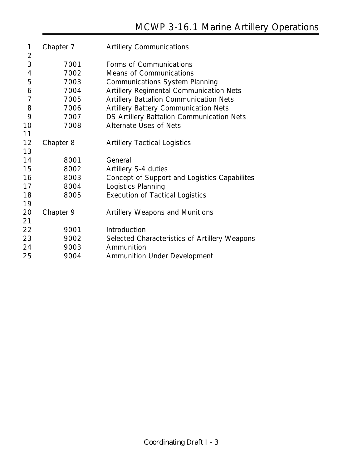| 1              | Chapter 7 | <b>Artillery Communications</b>                |
|----------------|-----------|------------------------------------------------|
| $\overline{2}$ |           |                                                |
| 3              | 7001      | Forms of Communications                        |
| $\overline{4}$ | 7002      | <b>Means of Communications</b>                 |
| 5              | 7003      | <b>Communications System Planning</b>          |
| 6              | 7004      | <b>Artillery Regimental Communication Nets</b> |
| $\overline{7}$ | 7005      | <b>Artillery Battalion Communication Nets</b>  |
| 8              | 7006      | <b>Artillery Battery Communication Nets</b>    |
| 9              | 7007      | DS Artillery Battalion Communication Nets      |
| 10             | 7008      | <b>Alternate Uses of Nets</b>                  |
| 11             |           |                                                |
| 12             | Chapter 8 | <b>Artillery Tactical Logistics</b>            |
| 13             |           |                                                |
| 14             | 8001      | General                                        |
| 15             | 8002      | Artillery S-4 duties                           |
| 16             | 8003      | Concept of Support and Logistics Capabilites   |
| 17             | 8004      | Logistics Planning                             |
| 18             | 8005      | <b>Execution of Tactical Logistics</b>         |
| 19             |           |                                                |
| 20             | Chapter 9 | <b>Artillery Weapons and Munitions</b>         |
| 21             |           |                                                |
| 22             | 9001      | Introduction                                   |
| 23             | 9002      | Selected Characteristics of Artillery Weapons  |
| 24             | 9003      | Ammunition                                     |
| 25             | 9004      | <b>Ammunition Under Development</b>            |